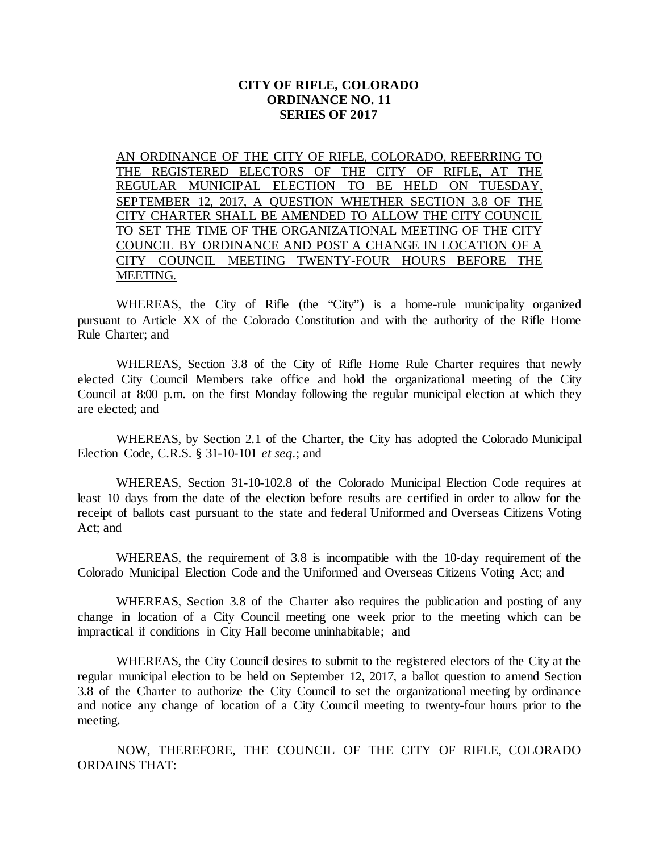## **CITY OF RIFLE, COLORADO ORDINANCE NO. 11 SERIES OF 2017**

AN ORDINANCE OF THE CITY OF RIFLE, COLORADO, REFERRING TO THE REGISTERED ELECTORS OF THE CITY OF RIFLE, AT THE REGULAR MUNICIPAL ELECTION TO BE HELD ON TUESDAY, SEPTEMBER 12, 2017, A QUESTION WHETHER SECTION 3.8 OF THE CITY CHARTER SHALL BE AMENDED TO ALLOW THE CITY COUNCIL TO SET THE TIME OF THE ORGANIZATIONAL MEETING OF THE CITY COUNCIL BY ORDINANCE AND POST A CHANGE IN LOCATION OF A CITY COUNCIL MEETING TWENTY-FOUR HOURS BEFORE THE MEETING.

WHEREAS, the City of Rifle (the "City") is a home-rule municipality organized pursuant to Article XX of the Colorado Constitution and with the authority of the Rifle Home Rule Charter; and

WHEREAS, Section 3.8 of the City of Rifle Home Rule Charter requires that newly elected City Council Members take office and hold the organizational meeting of the City Council at 8:00 p.m. on the first Monday following the regular municipal election at which they are elected; and

WHEREAS, by Section 2.1 of the Charter, the City has adopted the Colorado Municipal Election Code, C.R.S. § 31-10-101 *et seq.*; and

WHEREAS, Section 31-10-102.8 of the Colorado Municipal Election Code requires at least 10 days from the date of the election before results are certified in order to allow for the receipt of ballots cast pursuant to the state and federal Uniformed and Overseas Citizens Voting Act; and

WHEREAS, the requirement of 3.8 is incompatible with the 10-day requirement of the Colorado Municipal Election Code and the Uniformed and Overseas Citizens Voting Act; and

WHEREAS, Section 3.8 of the Charter also requires the publication and posting of any change in location of a City Council meeting one week prior to the meeting which can be impractical if conditions in City Hall become uninhabitable; and

WHEREAS, the City Council desires to submit to the registered electors of the City at the regular municipal election to be held on September 12, 2017, a ballot question to amend Section 3.8 of the Charter to authorize the City Council to set the organizational meeting by ordinance and notice any change of location of a City Council meeting to twenty-four hours prior to the meeting.

NOW, THEREFORE, THE COUNCIL OF THE CITY OF RIFLE, COLORADO ORDAINS THAT: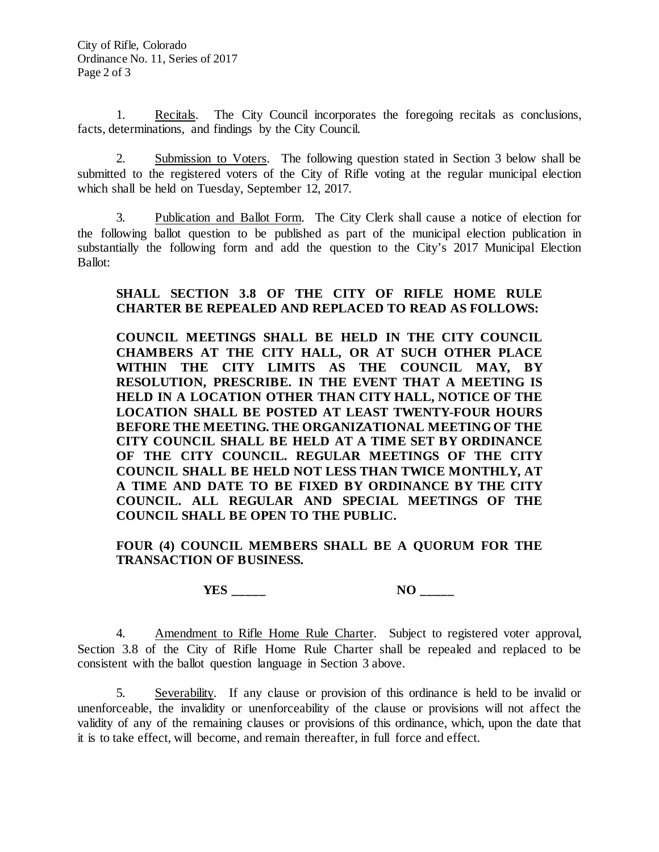1. Recitals. The City Council incorporates the foregoing recitals as conclusions, facts, determinations, and findings by the City Council.

2. Submission to Voters. The following question stated in Section 3 below shall be submitted to the registered voters of the City of Rifle voting at the regular municipal election which shall be held on Tuesday, September 12, 2017.

3. Publication and Ballot Form. The City Clerk shall cause a notice of election for the following ballot question to be published as part of the municipal election publication in substantially the following form and add the question to the City's 2017 Municipal Election Ballot:

## **SHALL SECTION 3.8 OF THE CITY OF RIFLE HOME RULE CHARTER BE REPEALED AND REPLACED TO READ AS FOLLOWS:**

**COUNCIL MEETINGS SHALL BE HELD IN THE CITY COUNCIL CHAMBERS AT THE CITY HALL, OR AT SUCH OTHER PLACE WITHIN THE CITY LIMITS AS THE COUNCIL MAY, BY RESOLUTION, PRESCRIBE. IN THE EVENT THAT A MEETING IS HELD IN A LOCATION OTHER THAN CITY HALL, NOTICE OF THE LOCATION SHALL BE POSTED AT LEAST TWENTY-FOUR HOURS BEFORE THE MEETING. THE ORGANIZATIONAL MEETING OF THE CITY COUNCIL SHALL BE HELD AT A TIME SET BY ORDINANCE OF THE CITY COUNCIL. REGULAR MEETINGS OF THE CITY COUNCIL SHALL BE HELD NOT LESS THAN TWICE MONTHLY, AT A TIME AND DATE TO BE FIXED BY ORDINANCE BY THE CITY COUNCIL. ALL REGULAR AND SPECIAL MEETINGS OF THE COUNCIL SHALL BE OPEN TO THE PUBLIC.**

**FOUR (4) COUNCIL MEMBERS SHALL BE A QUORUM FOR THE TRANSACTION OF BUSINESS.**

**YES \_\_\_\_\_ NO \_\_\_\_\_**

4. Amendment to Rifle Home Rule Charter. Subject to registered voter approval, Section 3.8 of the City of Rifle Home Rule Charter shall be repealed and replaced to be consistent with the ballot question language in Section 3 above.

5. Severability. If any clause or provision of this ordinance is held to be invalid or unenforceable, the invalidity or unenforceability of the clause or provisions will not affect the validity of any of the remaining clauses or provisions of this ordinance, which, upon the date that it is to take effect, will become, and remain thereafter, in full force and effect.